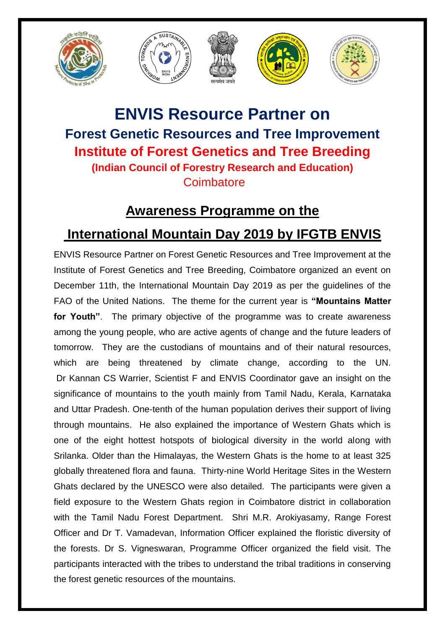

## **ENVIS Resource Partner on Forest Genetic Resources and Tree Improvement Institute of Forest Genetics and Tree Breeding (Indian Council of Forestry Research and Education) Coimbatore**

## **Awareness Programme on the**

## **International Mountain Day 2019 by IFGTB ENVIS**

ENVIS Resource Partner on Forest Genetic Resources and Tree Improvement at the Institute of Forest Genetics and Tree Breeding, Coimbatore organized an event on December 11th, the International Mountain Day 2019 as per the guidelines of the FAO of the United Nations. The theme for the current year is **"Mountains Matter for Youth"**. The primary objective of the programme was to create awareness among the young people, who are active agents of change and the future leaders of tomorrow. They are the custodians of mountains and of their natural resources, which are being threatened by climate change, according to the UN. Dr Kannan CS Warrier, Scientist F and ENVIS Coordinator gave an insight on the significance of mountains to the youth mainly from Tamil Nadu, Kerala, Karnataka and Uttar Pradesh. One-tenth of the human population derives their support of living through mountains. He also explained the importance of Western Ghats which is one of the eight hottest hotspots of biological diversity in the world along with Srilanka. Older than the Himalayas, the Western Ghats is the home to at least 325 globally threatened flora and fauna. Thirty-nine World Heritage Sites in the Western Ghats declared by the UNESCO were also detailed. The participants were given a field exposure to the Western Ghats region in Coimbatore district in collaboration with the Tamil Nadu Forest Department. Shri M.R. Arokiyasamy, Range Forest Officer and Dr T. Vamadevan, Information Officer explained the floristic diversity of the forests. Dr S. Vigneswaran, Programme Officer organized the field visit. The participants interacted with the tribes to understand the tribal traditions in conserving the forest genetic resources of the mountains.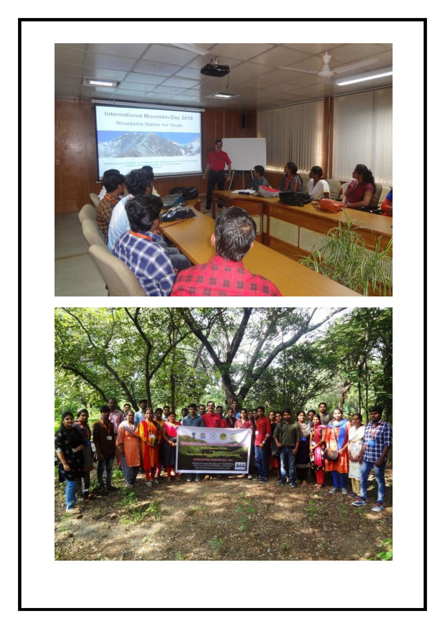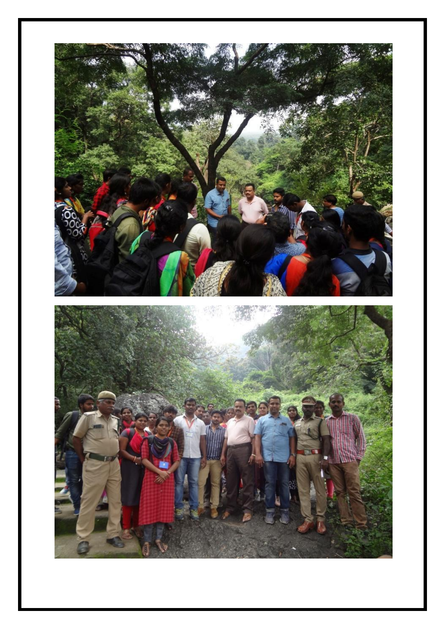